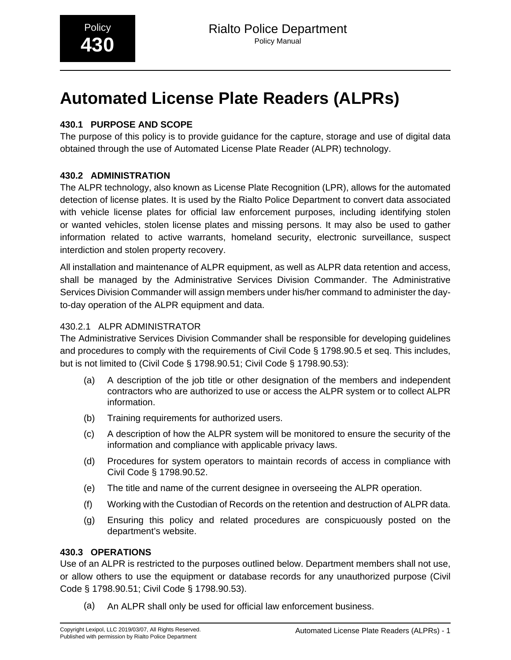# **Automated License Plate Readers (ALPRs)**

# **430.1 PURPOSE AND SCOPE**

The purpose of this policy is to provide guidance for the capture, storage and use of digital data obtained through the use of Automated License Plate Reader (ALPR) technology.

# **430.2 ADMINISTRATION**

The ALPR technology, also known as License Plate Recognition (LPR), allows for the automated detection of license plates. It is used by the Rialto Police Department to convert data associated with vehicle license plates for official law enforcement purposes, including identifying stolen or wanted vehicles, stolen license plates and missing persons. It may also be used to gather information related to active warrants, homeland security, electronic surveillance, suspect interdiction and stolen property recovery.

All installation and maintenance of ALPR equipment, as well as ALPR data retention and access, shall be managed by the Administrative Services Division Commander. The Administrative Services Division Commander will assign members under his/her command to administer the dayto-day operation of the ALPR equipment and data.

# 430.2.1 ALPR ADMINISTRATOR

The Administrative Services Division Commander shall be responsible for developing guidelines and procedures to comply with the requirements of Civil Code § 1798.90.5 et seq. This includes, but is not limited to (Civil Code § 1798.90.51; Civil Code § 1798.90.53):

- (a) A description of the job title or other designation of the members and independent contractors who are authorized to use or access the ALPR system or to collect ALPR information.
- (b) Training requirements for authorized users.
- (c) A description of how the ALPR system will be monitored to ensure the security of the information and compliance with applicable privacy laws.
- (d) Procedures for system operators to maintain records of access in compliance with Civil Code § 1798.90.52.
- (e) The title and name of the current designee in overseeing the ALPR operation.
- (f) Working with the Custodian of Records on the retention and destruction of ALPR data.
- (g) Ensuring this policy and related procedures are conspicuously posted on the department's website.

# **430.3 OPERATIONS**

Use of an ALPR is restricted to the purposes outlined below. Department members shall not use, or allow others to use the equipment or database records for any unauthorized purpose (Civil Code § 1798.90.51; Civil Code § 1798.90.53).

(a) An ALPR shall only be used for official law enforcement business.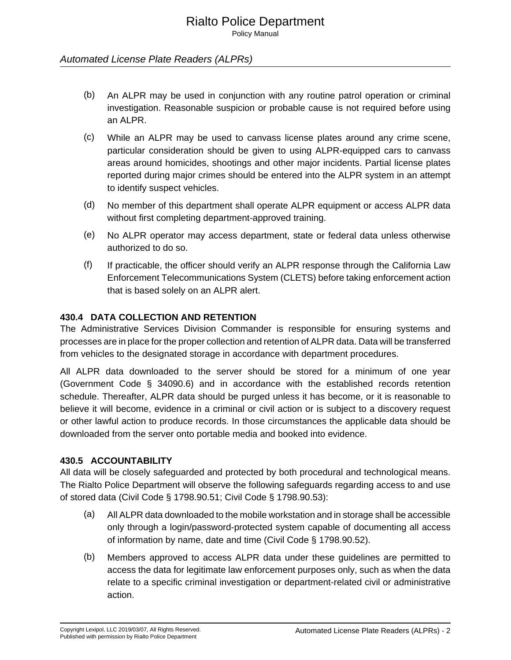# Rialto Police Department

Policy Manual

#### Automated License Plate Readers (ALPRs)

- (b) An ALPR may be used in conjunction with any routine patrol operation or criminal investigation. Reasonable suspicion or probable cause is not required before using an ALPR.
- (c) While an ALPR may be used to canvass license plates around any crime scene, particular consideration should be given to using ALPR-equipped cars to canvass areas around homicides, shootings and other major incidents. Partial license plates reported during major crimes should be entered into the ALPR system in an attempt to identify suspect vehicles.
- (d) No member of this department shall operate ALPR equipment or access ALPR data without first completing department-approved training.
- (e) No ALPR operator may access department, state or federal data unless otherwise authorized to do so.
- (f) If practicable, the officer should verify an ALPR response through the California Law Enforcement Telecommunications System (CLETS) before taking enforcement action that is based solely on an ALPR alert.

#### **430.4 DATA COLLECTION AND RETENTION**

The Administrative Services Division Commander is responsible for ensuring systems and processes are in place for the proper collection and retention of ALPR data. Data will be transferred from vehicles to the designated storage in accordance with department procedures.

All ALPR data downloaded to the server should be stored for a minimum of one year (Government Code § 34090.6) and in accordance with the established records retention schedule. Thereafter, ALPR data should be purged unless it has become, or it is reasonable to believe it will become, evidence in a criminal or civil action or is subject to a discovery request or other lawful action to produce records. In those circumstances the applicable data should be downloaded from the server onto portable media and booked into evidence.

#### **430.5 ACCOUNTABILITY**

All data will be closely safeguarded and protected by both procedural and technological means. The Rialto Police Department will observe the following safeguards regarding access to and use of stored data (Civil Code § 1798.90.51; Civil Code § 1798.90.53):

- (a) All ALPR data downloaded to the mobile workstation and in storage shall be accessible only through a login/password-protected system capable of documenting all access of information by name, date and time (Civil Code § 1798.90.52).
- (b) Members approved to access ALPR data under these guidelines are permitted to access the data for legitimate law enforcement purposes only, such as when the data relate to a specific criminal investigation or department-related civil or administrative action.